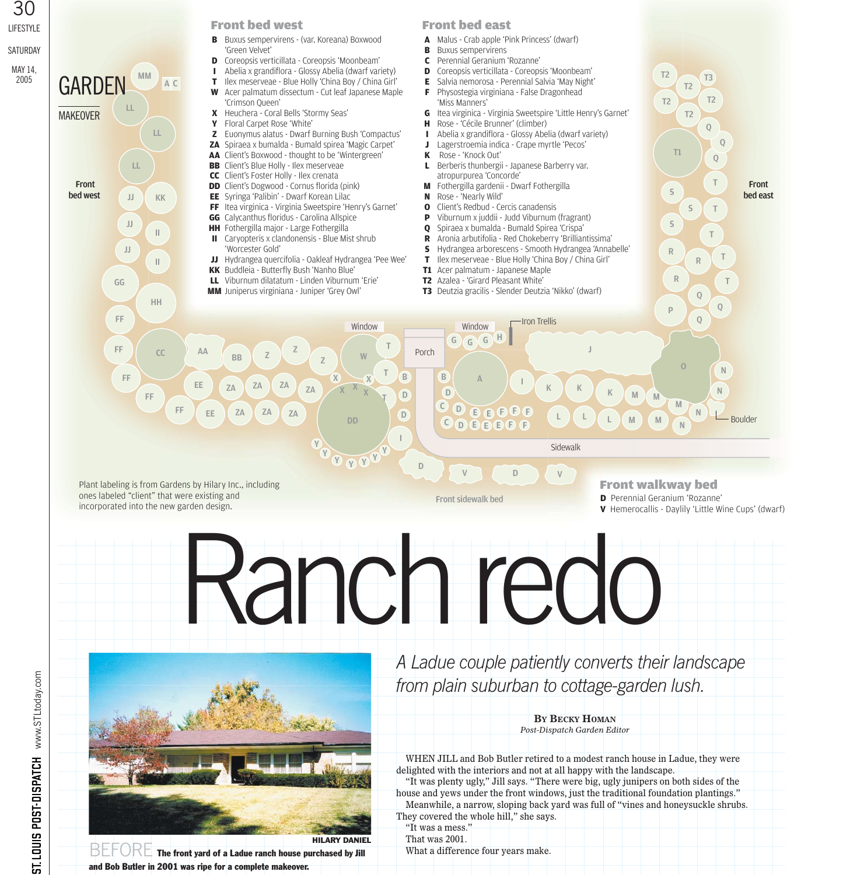

Ranchredo



 $\overline{\text{BLEDRE}}$  The front yard of a Ladue ranch house purchased by Jill and Bob Butler in 2001 was ripe for a complete makeover.

*A Ladue couple patiently converts their landscape from plain suburban to cottage-garden lush.* 

> **BY BECKY HOMAN** *Post-Dispatch Garden Editor*

WHEN JILL and Bob Butler retired to a modest ranch house in Ladue, they were delighted with the interiors and not at all happy with the landscape.

"It was plenty ugly," Jill says. "There were big, ugly junipers on both sides of the house and yews under the front windows, just the traditional foundation plantings." Meanwhile, a narrow, sloping back yard was full of "vines and honeysuckle shrubs. They covered the whole hill," she says.

"It was a mess." That was 2001. What a difference four years make.